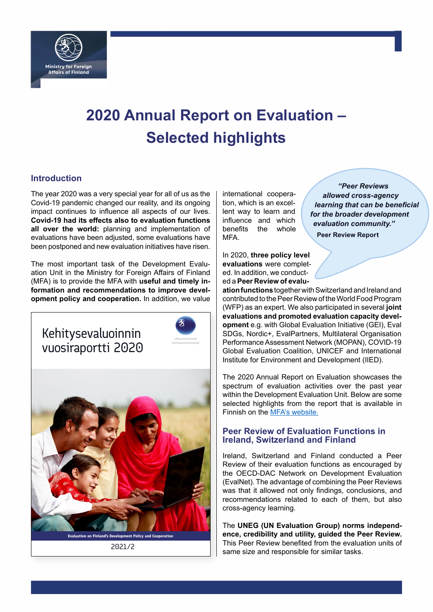

# **2020 Annual Report on Evaluation – Selected highlights**

## **Introduction**

The year 2020 was a very special year for all of us as the Covid-19 pandemic changed our reality, and its ongoing impact continues to influence all aspects of our lives. **Covid-19 had its effects also to evaluation functions all over the world:** planning and implementation of evaluations have been adjusted, some evaluations have been postponed and new evaluation initiatives have risen.

The most important task of the Development Evaluation Unit in the Ministry for Foreign Affairs of Finland (MFA) is to provide the MFA with **useful and timely information and recommendations to improve development policy and cooperation.** In addition, we value



2021/2

international cooperation, which is an excellent way to learn and influence and which benefits the whole MFA.

In 2020, **three policy level evaluations** were completed. In addition, we conducted a **Peer Review of evalu-**

*"Peer Reviews allowed cross-agency learning that can be beneficial for the broader development evaluation community."* **Peer Review Report**

1

**ation functions** together with Switzerland and Ireland and contributed to the Peer Review of the World Food Program (WFP) as an expert. We also participated in several **joint evaluations and promoted evaluation capacity development** e.g. with Global Evaluation Initiative (GEI), Eval SDGs, Nordic+, EvalPartners, Multilateral Organisation Performance Assessment Network (MOPAN), COVID-19 Global Evaluation Coalition, UNICEF and International Institute for Environment and Development (IIED).

The 2020 Annual Report on Evaluation showcases the spectrum of evaluation activities over the past year within the Development Evaluation Unit. Below are some selected highlights from the report that is available in Finnish on the [MFA's website](https://um.fi/kehitysyhteistyon-evaluointiraportit-laajat/-/asset_publisher/nBPgGHSLrA13/content/kehitysevaluoinnin-vuosiraportti-2020/384998).

## **Peer Review of Evaluation Functions in Ireland, Switzerland and Finland**

Ireland, Switzerland and Finland conducted a Peer Review of their evaluation functions as encouraged by the OECD-DAC Network on Development Evaluation (EvalNet). The advantage of combining the Peer Reviews was that it allowed not only findings, conclusions, and recommendations related to each of them, but also cross-agency learning.

The **UNEG (UN Evaluation Group) norms independence, credibility and utility, guided the Peer Review.** This Peer Review benefited from the evaluation units of same size and responsible for similar tasks.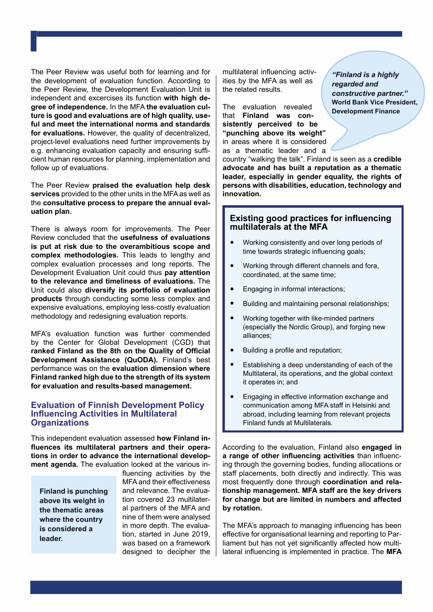The Peer Review was useful both for learning and for the development of evaluation function. According to the Peer Review, the Development Evaluation Unit is independent and excercises its function **with high degree of independence.** In the MFA **the evaluation culture is good and evaluations are of high quality, useful and meet the international norms and standards for evaluations.** However, the quality of decentralized, project-level evaluations need further improvements by e.g. enhancing evaluation capacity and ensuring sufficient human resources for planning, implementation and follow up of evaluations.

1

The Peer Review **praised the evaluation help desk services** provided to the other units in the MFA as well as the **consultative process to prepare the annual evaluation plan.**

There is always room for improvements. The Peer Review concluded that the **usefulness of evaluations is put at risk due to the overambitious scope and complex methodologies.** This leads to lengthy and complex evaluation processes and long reports. The Development Evaluation Unit could thus **pay attention to the relevance and timeliness of evaluations.** The Unit could also **diversify its portfolio of evaluation products** through conducting some less complex and expensive evaluations, employing less-costly evaluation methodology and redesigning evaluation reports.

MFA's evaluation function was further commended by the Center for Global Development (CGD) that **ranked Finland as the 8th on the Quality of Official Development Assistance (QuODA).** Finland's best performance was on the **evaluation dimension where Finland ranked high due to the strength of its system for evaluation and results-based management.**

#### **Evaluation of Finnish Development Policy Influencing Activities in Multilateral Organizations**

This independent evaluation assessed **how Finland influences its multilateral partners and their operations in order to advance the international development agenda.** The evaluation looked at the various in-

**Finland is punching above its weight in the thematic areas where the country is considered a leader.**

fluencing activities by the MFA and their effectiveness and relevance. The evaluation covered 23 multilateral partners of the MFA and nine of them were analysed in more depth. The evaluation, started in June 2019, was based on a framework designed to decipher the

multilateral influencing activities by the MFA as well as the related results.

The evaluation revealed that **Finland was consistently perceived to be "punching above its weight"** in areas where it is considered as a thematic leader and a

*"Finland is a highly regarded and constructive partner."* **World Bank Vice President, Development Finance**

country "walking the talk". Finland is seen as a **credible advocate and has built a reputation as a thematic leader, especially in gender equality, the rights of persons with disabilities, education, technology and innovation.** 

## **Existing good practices for influencing multilaterals at the MFA**

- Working consistently and over long periods of time towards strategic influencing goals;
- Working through different channels and fora, coordinated, at the same time;
- Engaging in informal interactions;
- Building and maintaining personal relationships;
- Working together with like-minded partners (especially the Nordic Group), and forging new alliances;
- Building a profile and reputation;
- Establishing a deep understanding of each of the Multilateral, its operations, and the global context it operates in; and
- Engaging in effective information exchange and communication among MFA staff in Helsinki and abroad, including learning from relevant projects Finland funds at Multilaterals.

According to the evaluation, Finland also **engaged in a range of other influencing activities** than influencing through the governing bodies, funding allocations or staff placements, both directly and indirectly. This was most frequently done through **coordination and relationship management. MFA staff are the key drivers for change but are limited in numbers and affected by rotation.** 

The MFA's approach to managing influencing has been effective for organisational learning and reporting to Parliament but has not yet significantly affected how multilateral influencing is implemented in practice. The **MFA**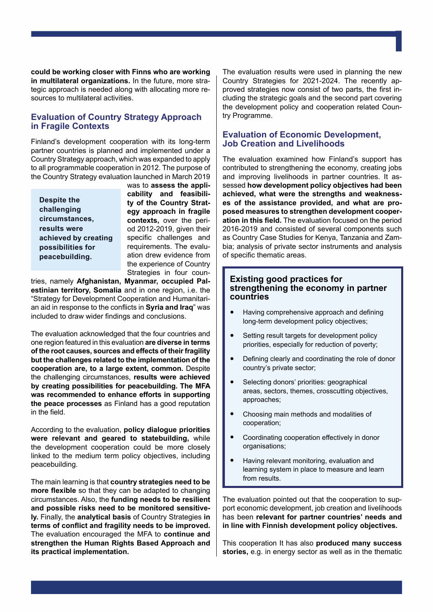**could be working closer with Finns who are working in multilateral organizations.** In the future, more strategic approach is needed along with allocating more resources to multilateral activities.

## **Evaluation of Country Strategy Approach in Fragile Contexts**

Finland's development cooperation with its long-term partner countries is planned and implemented under a Country Strategy approach, which was expanded to apply to all programmable cooperation in 2012. The purpose of the Country Strategy evaluation launched in March 2019

**Despite the challenging circumstances, results were achieved by creating possibilities for peacebuilding.**

 $\mathcal{I}_1$  is a construction of the construction of the construction of the construction of the construction of the construction of the construction of the construction of the construction of the construction of the constr

was to **assess the applicability and feasibility of the Country Strategy approach in fragile contexts,** over the period 2012-2019, given their specific challenges and requirements. The evaluation drew evidence from the experience of Country Strategies in four coun-

tries, namely **Afghanistan, Myanmar, occupied Palestinian territory, Somalia** and in one region, i.e. the "Strategy for Development Cooperation and Humanitarian aid in response to the conflicts in **Syria and Iraq**" was included to draw wider findings and conclusions.

The evaluation acknowledged that the four countries and one region featured in this evaluation **are diverse in terms of the root causes, sources and effects of their fragility but the challenges related to the implementation of the cooperation are, to a large extent, common.** Despite the challenging circumstances, **results were achieved by creating possibilities for peacebuilding. The MFA was recommended to enhance efforts in supporting the peace processes** as Finland has a good reputation in the field.

According to the evaluation, **policy dialogue priorities were relevant and geared to statebuilding,** while the development cooperation could be more closely linked to the medium term policy objectives, including peacebuilding.

The main learning is that **country strategies need to be more flexible** so that they can be adapted to changing circumstances. Also, the **funding needs to be resilient and possible risks need to be monitored sensitively.** Finally, the **analytical basis** of Country Strategies **in terms of conflict and fragility needs to be improved.** The evaluation encouraged the MFA to **continue and strengthen the Human Rights Based Approach and its practical implementation.**

The evaluation results were used in planning the new Country Strategies for 2021-2024. The recently approved strategies now consist of two parts, the first including the strategic goals and the second part covering the development policy and cooperation related Country Programme.

## **Evaluation of Economic Development, Job Creation and Livelihoods**

The evaluation examined how Finland's support has contributed to strengthening the economy, creating jobs and improving livelihoods in partner countries. It assessed **how development policy objectives had been achieved, what were the strengths and weaknesses of the assistance provided, and what are proposed measures to strengthen development cooperation in this field.** The evaluation focused on the period 2016-2019 and consisted of several components such as Country Case Studies for Kenya, Tanzania and Zambia; analysis of private sector instruments and analysis of specific thematic areas.

## **Existing good practices for strengthening the economy in partner countries**

- Having comprehensive approach and defining long-term development policy objectives;
- Setting result targets for development policy priorities, especially for reduction of poverty;
- Defining clearly and coordinating the role of donor country's private sector;
- Selecting donors' priorities: geographical areas, sectors, themes, crosscutting objectives, approaches;
- Choosing main methods and modalities of cooperation;
- Coordinating cooperation effectively in donor organisations;
- Having relevant monitoring, evaluation and learning system in place to measure and learn from results.

The evaluation pointed out that the cooperation to support economic development, job creation and livelihoods has been **relevant for partner countries' needs and in line with Finnish development policy objectives.**

This cooperation It has also **produced many success stories,** e.g. in energy sector as well as in the thematic